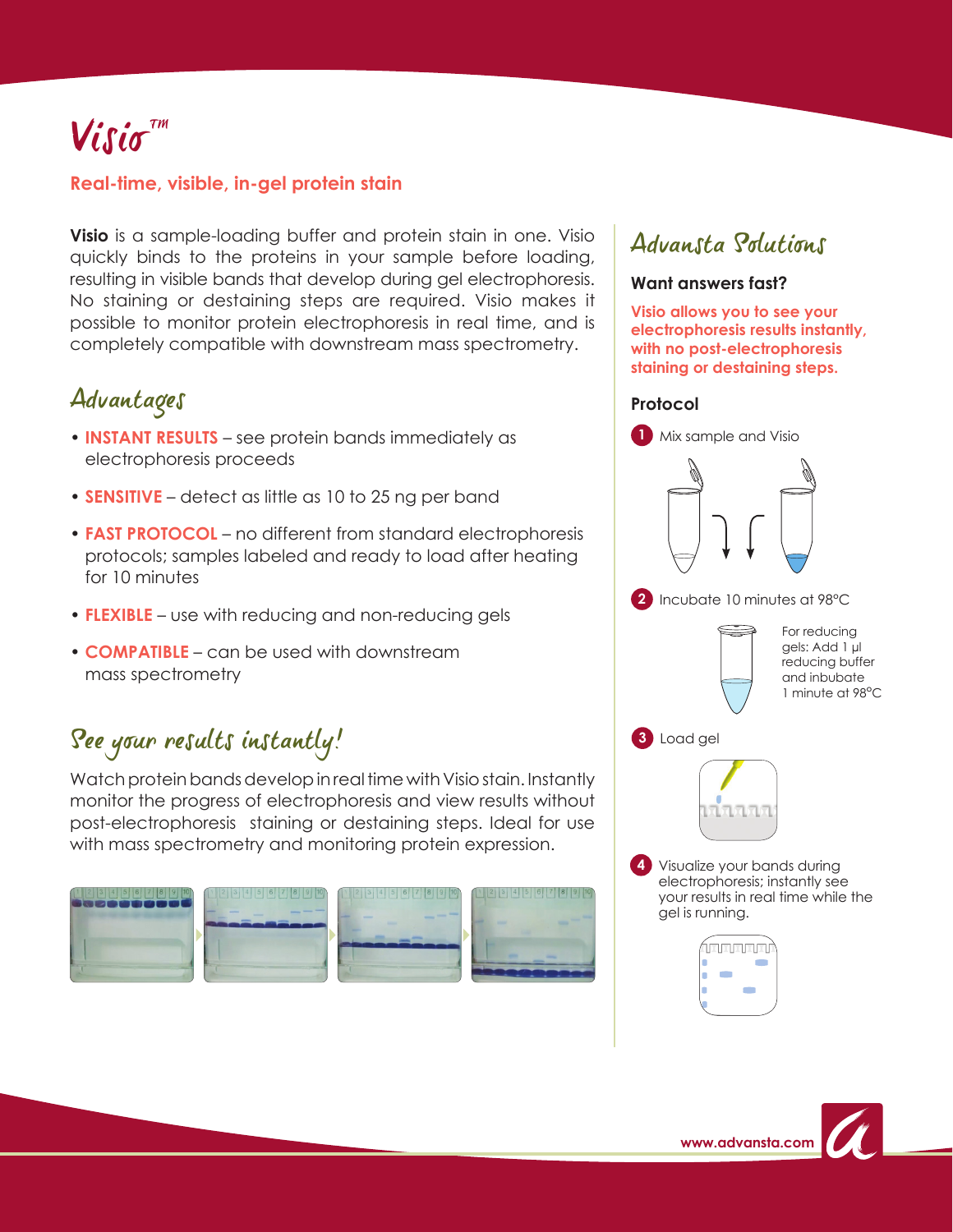# $V$ isio<sup> $\pi$ m</sup>

### **Real-time, visible, in-gel protein stain**

**Visio** is a sample-loading buffer and protein stain in one. Visio quickly binds to the proteins in your sample before loading, resulting in visible bands that develop during gel electrophoresis. No staining or destaining steps are required. Visio makes it possible to monitor protein electrophoresis in real time, and is completely compatible with downstream mass spectrometry.

## Advantages

- **INSTANT RESULTS**  see protein bands immediately as electrophoresis proceeds
- **SENSITIVE**  detect as little as 10 to 25 ng per band
- **FAST PROTOCOL**  no different from standard electrophoresis protocols; samples labeled and ready to load after heating for 10 minutes
- **FLEXIBLE** use with reducing and non-reducing gels
- **COMPATIBLE** can be used with downstream mass spectrometry

# See your results instantly!

Watch protein bands develop in real time with Visio stain. Instantly monitor the progress of electrophoresis and view results without post-electrophoresis staining or destaining steps. Ideal for use with mass spectrometry and monitoring protein expression.



## Advansta Solutions

### **Want answers fast?**

**Visio allows you to see your electrophoresis results instantly, with no post-electrophoresis staining or destaining steps.**

#### **Protocol**



**2** Incubate 10 minutes at 98°C

For reducing gels: Add 1 µl reducing buffer and inbubate 1 minute at 98°C





Visualize your bands during **4**electrophoresis; instantly see your results in real time while the gel is running.